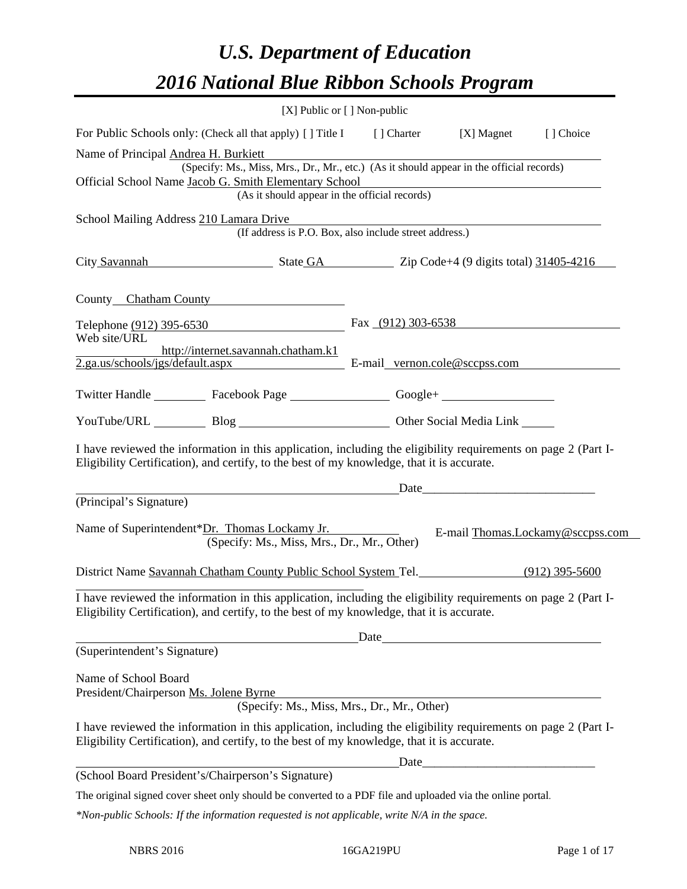# *U.S. Department of Education 2016 National Blue Ribbon Schools Program*

| [X] Public or [] Non-public                                                                  |                                                                                                                                                                                                                                                                                                                                                                                                                                                                                                                                                                                                                                                                                                                                                                                                                                                                                                                                                                                                                                                                                                                                                                                                                                                                                                                                                                                                                                                                                                                                                                                                                                                                                                                                                                                                                                                                                                                                            |
|----------------------------------------------------------------------------------------------|--------------------------------------------------------------------------------------------------------------------------------------------------------------------------------------------------------------------------------------------------------------------------------------------------------------------------------------------------------------------------------------------------------------------------------------------------------------------------------------------------------------------------------------------------------------------------------------------------------------------------------------------------------------------------------------------------------------------------------------------------------------------------------------------------------------------------------------------------------------------------------------------------------------------------------------------------------------------------------------------------------------------------------------------------------------------------------------------------------------------------------------------------------------------------------------------------------------------------------------------------------------------------------------------------------------------------------------------------------------------------------------------------------------------------------------------------------------------------------------------------------------------------------------------------------------------------------------------------------------------------------------------------------------------------------------------------------------------------------------------------------------------------------------------------------------------------------------------------------------------------------------------------------------------------------------------|
|                                                                                              |                                                                                                                                                                                                                                                                                                                                                                                                                                                                                                                                                                                                                                                                                                                                                                                                                                                                                                                                                                                                                                                                                                                                                                                                                                                                                                                                                                                                                                                                                                                                                                                                                                                                                                                                                                                                                                                                                                                                            |
| Official School Name Jacob G. Smith Elementary School                                        |                                                                                                                                                                                                                                                                                                                                                                                                                                                                                                                                                                                                                                                                                                                                                                                                                                                                                                                                                                                                                                                                                                                                                                                                                                                                                                                                                                                                                                                                                                                                                                                                                                                                                                                                                                                                                                                                                                                                            |
|                                                                                              |                                                                                                                                                                                                                                                                                                                                                                                                                                                                                                                                                                                                                                                                                                                                                                                                                                                                                                                                                                                                                                                                                                                                                                                                                                                                                                                                                                                                                                                                                                                                                                                                                                                                                                                                                                                                                                                                                                                                            |
|                                                                                              |                                                                                                                                                                                                                                                                                                                                                                                                                                                                                                                                                                                                                                                                                                                                                                                                                                                                                                                                                                                                                                                                                                                                                                                                                                                                                                                                                                                                                                                                                                                                                                                                                                                                                                                                                                                                                                                                                                                                            |
| County Chatham County                                                                        |                                                                                                                                                                                                                                                                                                                                                                                                                                                                                                                                                                                                                                                                                                                                                                                                                                                                                                                                                                                                                                                                                                                                                                                                                                                                                                                                                                                                                                                                                                                                                                                                                                                                                                                                                                                                                                                                                                                                            |
|                                                                                              |                                                                                                                                                                                                                                                                                                                                                                                                                                                                                                                                                                                                                                                                                                                                                                                                                                                                                                                                                                                                                                                                                                                                                                                                                                                                                                                                                                                                                                                                                                                                                                                                                                                                                                                                                                                                                                                                                                                                            |
|                                                                                              |                                                                                                                                                                                                                                                                                                                                                                                                                                                                                                                                                                                                                                                                                                                                                                                                                                                                                                                                                                                                                                                                                                                                                                                                                                                                                                                                                                                                                                                                                                                                                                                                                                                                                                                                                                                                                                                                                                                                            |
|                                                                                              |                                                                                                                                                                                                                                                                                                                                                                                                                                                                                                                                                                                                                                                                                                                                                                                                                                                                                                                                                                                                                                                                                                                                                                                                                                                                                                                                                                                                                                                                                                                                                                                                                                                                                                                                                                                                                                                                                                                                            |
|                                                                                              |                                                                                                                                                                                                                                                                                                                                                                                                                                                                                                                                                                                                                                                                                                                                                                                                                                                                                                                                                                                                                                                                                                                                                                                                                                                                                                                                                                                                                                                                                                                                                                                                                                                                                                                                                                                                                                                                                                                                            |
|                                                                                              |                                                                                                                                                                                                                                                                                                                                                                                                                                                                                                                                                                                                                                                                                                                                                                                                                                                                                                                                                                                                                                                                                                                                                                                                                                                                                                                                                                                                                                                                                                                                                                                                                                                                                                                                                                                                                                                                                                                                            |
|                                                                                              |                                                                                                                                                                                                                                                                                                                                                                                                                                                                                                                                                                                                                                                                                                                                                                                                                                                                                                                                                                                                                                                                                                                                                                                                                                                                                                                                                                                                                                                                                                                                                                                                                                                                                                                                                                                                                                                                                                                                            |
| Name of Superintendent*Dr. Thomas Lockamy Jr.<br>(Specify: Ms., Miss, Mrs., Dr., Mr., Other) | E-mail Thomas.Lockamy@sccpss.com                                                                                                                                                                                                                                                                                                                                                                                                                                                                                                                                                                                                                                                                                                                                                                                                                                                                                                                                                                                                                                                                                                                                                                                                                                                                                                                                                                                                                                                                                                                                                                                                                                                                                                                                                                                                                                                                                                           |
|                                                                                              |                                                                                                                                                                                                                                                                                                                                                                                                                                                                                                                                                                                                                                                                                                                                                                                                                                                                                                                                                                                                                                                                                                                                                                                                                                                                                                                                                                                                                                                                                                                                                                                                                                                                                                                                                                                                                                                                                                                                            |
|                                                                                              |                                                                                                                                                                                                                                                                                                                                                                                                                                                                                                                                                                                                                                                                                                                                                                                                                                                                                                                                                                                                                                                                                                                                                                                                                                                                                                                                                                                                                                                                                                                                                                                                                                                                                                                                                                                                                                                                                                                                            |
| Date                                                                                         |                                                                                                                                                                                                                                                                                                                                                                                                                                                                                                                                                                                                                                                                                                                                                                                                                                                                                                                                                                                                                                                                                                                                                                                                                                                                                                                                                                                                                                                                                                                                                                                                                                                                                                                                                                                                                                                                                                                                            |
|                                                                                              |                                                                                                                                                                                                                                                                                                                                                                                                                                                                                                                                                                                                                                                                                                                                                                                                                                                                                                                                                                                                                                                                                                                                                                                                                                                                                                                                                                                                                                                                                                                                                                                                                                                                                                                                                                                                                                                                                                                                            |
|                                                                                              |                                                                                                                                                                                                                                                                                                                                                                                                                                                                                                                                                                                                                                                                                                                                                                                                                                                                                                                                                                                                                                                                                                                                                                                                                                                                                                                                                                                                                                                                                                                                                                                                                                                                                                                                                                                                                                                                                                                                            |
|                                                                                              |                                                                                                                                                                                                                                                                                                                                                                                                                                                                                                                                                                                                                                                                                                                                                                                                                                                                                                                                                                                                                                                                                                                                                                                                                                                                                                                                                                                                                                                                                                                                                                                                                                                                                                                                                                                                                                                                                                                                            |
|                                                                                              |                                                                                                                                                                                                                                                                                                                                                                                                                                                                                                                                                                                                                                                                                                                                                                                                                                                                                                                                                                                                                                                                                                                                                                                                                                                                                                                                                                                                                                                                                                                                                                                                                                                                                                                                                                                                                                                                                                                                            |
|                                                                                              |                                                                                                                                                                                                                                                                                                                                                                                                                                                                                                                                                                                                                                                                                                                                                                                                                                                                                                                                                                                                                                                                                                                                                                                                                                                                                                                                                                                                                                                                                                                                                                                                                                                                                                                                                                                                                                                                                                                                            |
|                                                                                              |                                                                                                                                                                                                                                                                                                                                                                                                                                                                                                                                                                                                                                                                                                                                                                                                                                                                                                                                                                                                                                                                                                                                                                                                                                                                                                                                                                                                                                                                                                                                                                                                                                                                                                                                                                                                                                                                                                                                            |
|                                                                                              | For Public Schools only: (Check all that apply) [ ] Title I [ ] Charter [X] Magnet [ ] Choice<br>(Specify: Ms., Miss, Mrs., Dr., Mr., etc.) (As it should appear in the official records)<br>(As it should appear in the official records)<br>School Mailing Address 210 Lamara Drive Manual Andrew Mailing Address 210 Lamara Drive<br>(If address is P.O. Box, also include street address.)<br>City Savannah State GA Zip Code+4 (9 digits total) 31405-4216<br>Telephone (912) 395-6530 Fax (912) 303-6538<br>2.ga.us/schools/jgs/default.aspx E-mail_vernon.cole@sccpss.com<br>Twitter Handle ____________ Facebook Page ____________________ Google+ _____________________________<br>YouTube/URL Blog Blog Cher Social Media Link<br>I have reviewed the information in this application, including the eligibility requirements on page 2 (Part I-<br>Eligibility Certification), and certify, to the best of my knowledge, that it is accurate.<br><u>Date</u> <u>Date</u> <i>Date Date Date Date Date Date Date Date Date Date Date Date Date Date Date Date Date Date Date Date Date Date Date Date Date Date Date Date Date Date</i><br>District Name Savannah Chatham County Public School System Tel. (912) 395-5600<br>I have reviewed the information in this application, including the eligibility requirements on page 2 (Part I-<br>Eligibility Certification), and certify, to the best of my knowledge, that it is accurate.<br>(Specify: Ms., Miss, Mrs., Dr., Mr., Other)<br>I have reviewed the information in this application, including the eligibility requirements on page 2 (Part I-<br>Eligibility Certification), and certify, to the best of my knowledge, that it is accurate.<br>Date<br>The original signed cover sheet only should be converted to a PDF file and uploaded via the online portal.<br>$*$ Non-public Schools: If the information requested is not applicable, write N/A in the space. |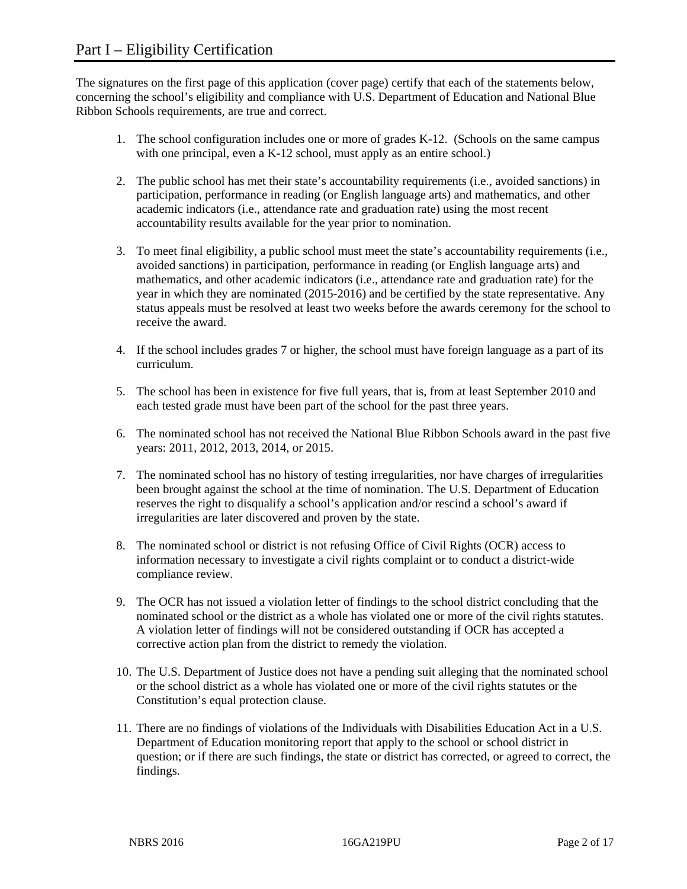The signatures on the first page of this application (cover page) certify that each of the statements below, concerning the school's eligibility and compliance with U.S. Department of Education and National Blue Ribbon Schools requirements, are true and correct.

- 1. The school configuration includes one or more of grades K-12. (Schools on the same campus with one principal, even a K-12 school, must apply as an entire school.)
- 2. The public school has met their state's accountability requirements (i.e., avoided sanctions) in participation, performance in reading (or English language arts) and mathematics, and other academic indicators (i.e., attendance rate and graduation rate) using the most recent accountability results available for the year prior to nomination.
- 3. To meet final eligibility, a public school must meet the state's accountability requirements (i.e., avoided sanctions) in participation, performance in reading (or English language arts) and mathematics, and other academic indicators (i.e., attendance rate and graduation rate) for the year in which they are nominated (2015-2016) and be certified by the state representative. Any status appeals must be resolved at least two weeks before the awards ceremony for the school to receive the award.
- 4. If the school includes grades 7 or higher, the school must have foreign language as a part of its curriculum.
- 5. The school has been in existence for five full years, that is, from at least September 2010 and each tested grade must have been part of the school for the past three years.
- 6. The nominated school has not received the National Blue Ribbon Schools award in the past five years: 2011, 2012, 2013, 2014, or 2015.
- 7. The nominated school has no history of testing irregularities, nor have charges of irregularities been brought against the school at the time of nomination. The U.S. Department of Education reserves the right to disqualify a school's application and/or rescind a school's award if irregularities are later discovered and proven by the state.
- 8. The nominated school or district is not refusing Office of Civil Rights (OCR) access to information necessary to investigate a civil rights complaint or to conduct a district-wide compliance review.
- 9. The OCR has not issued a violation letter of findings to the school district concluding that the nominated school or the district as a whole has violated one or more of the civil rights statutes. A violation letter of findings will not be considered outstanding if OCR has accepted a corrective action plan from the district to remedy the violation.
- 10. The U.S. Department of Justice does not have a pending suit alleging that the nominated school or the school district as a whole has violated one or more of the civil rights statutes or the Constitution's equal protection clause.
- 11. There are no findings of violations of the Individuals with Disabilities Education Act in a U.S. Department of Education monitoring report that apply to the school or school district in question; or if there are such findings, the state or district has corrected, or agreed to correct, the findings.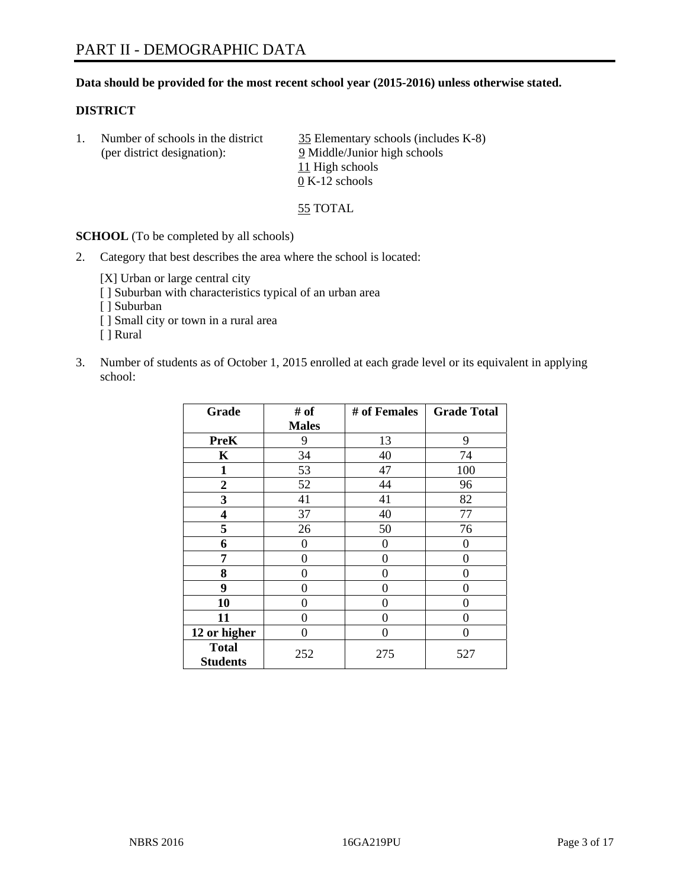#### **Data should be provided for the most recent school year (2015-2016) unless otherwise stated.**

#### **DISTRICT**

| Number of schools in the district<br>(per district designation): | 35 Elementary schools (includes K-8)<br>9 Middle/Junior high schools |  |
|------------------------------------------------------------------|----------------------------------------------------------------------|--|
|                                                                  | 11 High schools<br>$0 K-12$ schools                                  |  |

55 TOTAL

**SCHOOL** (To be completed by all schools)

2. Category that best describes the area where the school is located:

[X] Urban or large central city [ ] Suburban with characteristics typical of an urban area

- [ ] Suburban
- [ ] Small city or town in a rural area
- [ ] Rural
- 3. Number of students as of October 1, 2015 enrolled at each grade level or its equivalent in applying school:

| Grade                           | # of         | # of Females | <b>Grade Total</b> |
|---------------------------------|--------------|--------------|--------------------|
|                                 | <b>Males</b> |              |                    |
| <b>PreK</b>                     | 9            | 13           | 9                  |
| $\mathbf K$                     | 34           | 40           | 74                 |
| $\mathbf{1}$                    | 53           | 47           | 100                |
| $\overline{2}$                  | 52           | 44           | 96                 |
| 3                               | 41           | 41           | 82                 |
| $\overline{\mathbf{4}}$         | 37           | 40           | 77                 |
| 5                               | 26           | 50           | 76                 |
| 6                               | $\theta$     | $\theta$     | 0                  |
| 7                               | 0            | 0            | 0                  |
| 8                               | 0            | $\theta$     | 0                  |
| 9                               | 0            | 0            | 0                  |
| 10                              | 0            | 0            | $\Omega$           |
| 11                              | 0            | 0            | $\mathbf{\Omega}$  |
| 12 or higher                    | 0            | 0            | 0                  |
| <b>Total</b><br><b>Students</b> | 252          | 275          | 527                |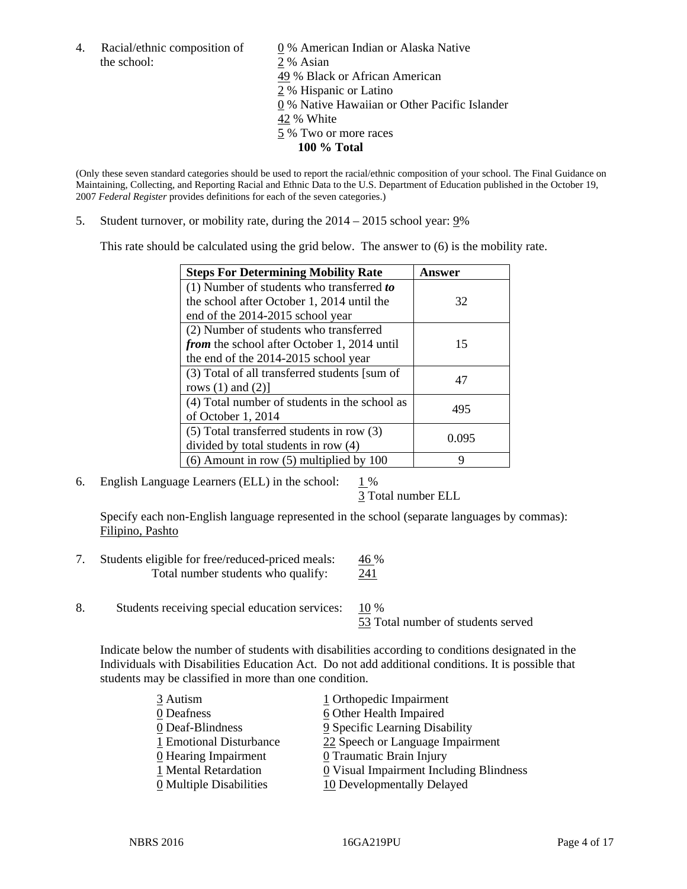the school: 2 % Asian

4. Racial/ethnic composition of  $\qquad 0\%$  American Indian or Alaska Native 49 % Black or African American 2 % Hispanic or Latino 0 % Native Hawaiian or Other Pacific Islander 42 % White 5 % Two or more races **100 % Total** 

(Only these seven standard categories should be used to report the racial/ethnic composition of your school. The Final Guidance on Maintaining, Collecting, and Reporting Racial and Ethnic Data to the U.S. Department of Education published in the October 19, 2007 *Federal Register* provides definitions for each of the seven categories.)

5. Student turnover, or mobility rate, during the 2014 – 2015 school year: 9%

This rate should be calculated using the grid below. The answer to (6) is the mobility rate.

| <b>Steps For Determining Mobility Rate</b>         | Answer |  |
|----------------------------------------------------|--------|--|
| $(1)$ Number of students who transferred to        |        |  |
| the school after October 1, 2014 until the         | 32     |  |
| end of the 2014-2015 school year                   |        |  |
| (2) Number of students who transferred             |        |  |
| <i>from</i> the school after October 1, 2014 until | 15     |  |
| the end of the 2014-2015 school year               |        |  |
| (3) Total of all transferred students [sum of      | 47     |  |
| rows $(1)$ and $(2)$ ]                             |        |  |
| (4) Total number of students in the school as      | 495    |  |
| of October 1, 2014                                 |        |  |
| (5) Total transferred students in row (3)          | 0.095  |  |
| divided by total students in row (4)               |        |  |
| $(6)$ Amount in row $(5)$ multiplied by 100        | Q      |  |

6. English Language Learners (ELL) in the school:  $1\%$ 

3 Total number ELL

 Specify each non-English language represented in the school (separate languages by commas): Filipino, Pashto

- 7. Students eligible for free/reduced-priced meals: 46 % Total number students who qualify: 241
- 8. Students receiving special education services: 10 %

53 Total number of students served

Indicate below the number of students with disabilities according to conditions designated in the Individuals with Disabilities Education Act. Do not add additional conditions. It is possible that students may be classified in more than one condition.

| 3 Autism                              | 1 Orthopedic Impairment                   |
|---------------------------------------|-------------------------------------------|
| 0 Deafness                            | 6 Other Health Impaired                   |
| 0 Deaf-Blindness                      | 9 Specific Learning Disability            |
| 1 Emotional Disturbance               | 22 Speech or Language Impairment          |
| 0 Hearing Impairment                  | 0 Traumatic Brain Injury                  |
| 1 Mental Retardation                  | $Q$ Visual Impairment Including Blindness |
| $\underline{0}$ Multiple Disabilities | 10 Developmentally Delayed                |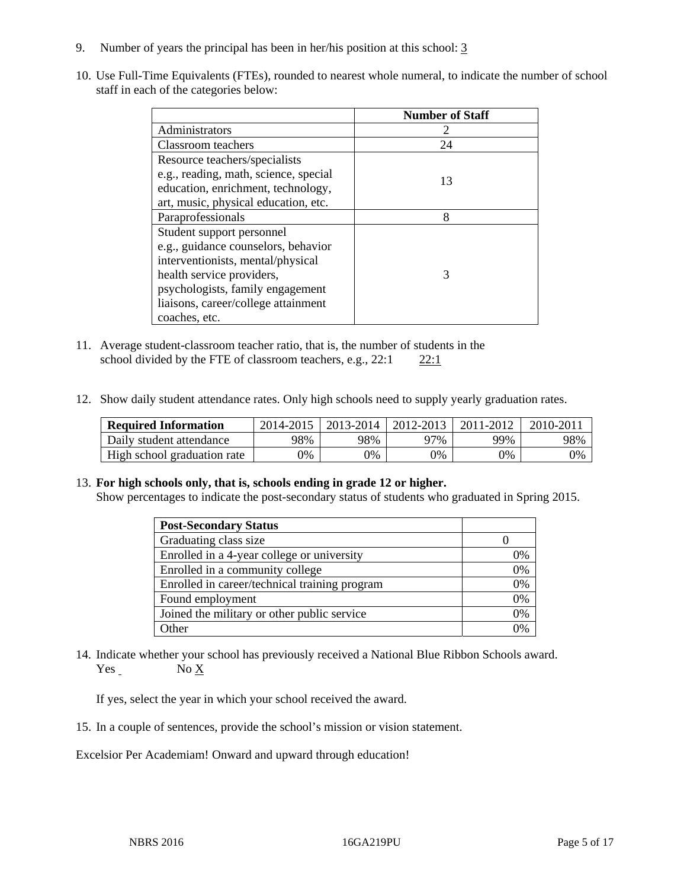- 9. Number of years the principal has been in her/his position at this school: 3
- 10. Use Full-Time Equivalents (FTEs), rounded to nearest whole numeral, to indicate the number of school staff in each of the categories below:

|                                       | <b>Number of Staff</b> |
|---------------------------------------|------------------------|
| Administrators                        |                        |
| Classroom teachers                    | 24                     |
| Resource teachers/specialists         |                        |
| e.g., reading, math, science, special | 13                     |
| education, enrichment, technology,    |                        |
| art, music, physical education, etc.  |                        |
| Paraprofessionals                     | 8                      |
| Student support personnel             |                        |
| e.g., guidance counselors, behavior   |                        |
| interventionists, mental/physical     |                        |
| health service providers,             | 3                      |
| psychologists, family engagement      |                        |
| liaisons, career/college attainment   |                        |
| coaches, etc.                         |                        |

- 11. Average student-classroom teacher ratio, that is, the number of students in the school divided by the FTE of classroom teachers, e.g.,  $22:1$   $22:1$
- 12. Show daily student attendance rates. Only high schools need to supply yearly graduation rates.

| <b>Required Information</b> | 2014-2015 | 2013-2014 | 2012-2013 | 2011-2012 | $2010 - 201$ . |
|-----------------------------|-----------|-----------|-----------|-----------|----------------|
| Daily student attendance    | 98%       | 98%       | 27%       | 99%       | 98%            |
| High school graduation rate | 9%        | 0%        | 0%        | 9%        | 0%             |

#### 13. **For high schools only, that is, schools ending in grade 12 or higher.**

Show percentages to indicate the post-secondary status of students who graduated in Spring 2015.

| <b>Post-Secondary Status</b>                  |              |
|-----------------------------------------------|--------------|
| Graduating class size                         |              |
| Enrolled in a 4-year college or university    | 0%           |
| Enrolled in a community college               | 0%           |
| Enrolled in career/technical training program | 0%           |
| Found employment                              | 0%           |
| Joined the military or other public service   | 0%           |
| <b>Other</b>                                  | $\gamma_{0}$ |

14. Indicate whether your school has previously received a National Blue Ribbon Schools award. Yes No X

If yes, select the year in which your school received the award.

15. In a couple of sentences, provide the school's mission or vision statement.

Excelsior Per Academiam! Onward and upward through education!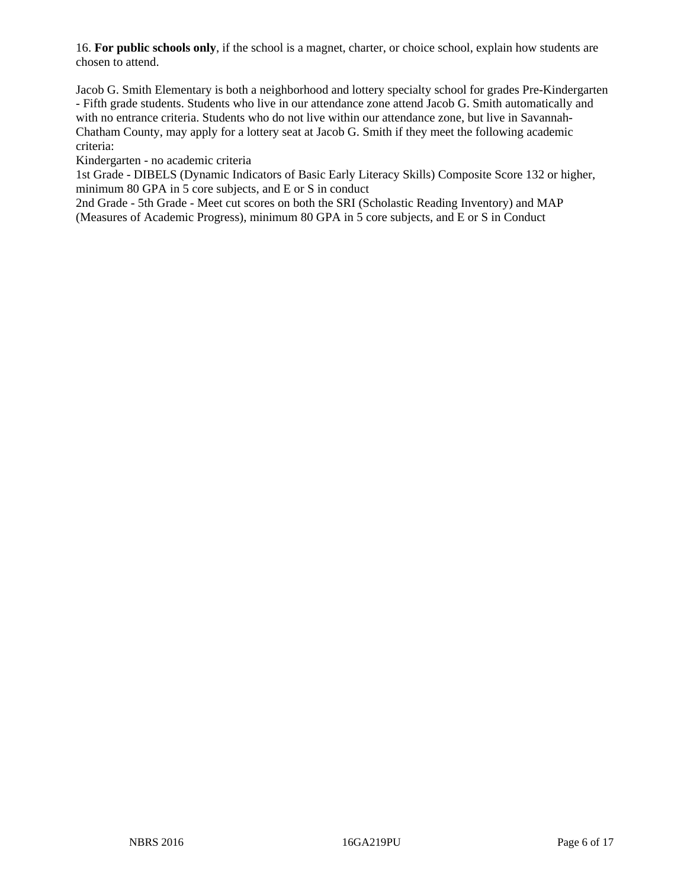16. **For public schools only**, if the school is a magnet, charter, or choice school, explain how students are chosen to attend.

Jacob G. Smith Elementary is both a neighborhood and lottery specialty school for grades Pre-Kindergarten - Fifth grade students. Students who live in our attendance zone attend Jacob G. Smith automatically and with no entrance criteria. Students who do not live within our attendance zone, but live in Savannah-Chatham County, may apply for a lottery seat at Jacob G. Smith if they meet the following academic criteria:

Kindergarten - no academic criteria

1st Grade - DIBELS (Dynamic Indicators of Basic Early Literacy Skills) Composite Score 132 or higher, minimum 80 GPA in 5 core subjects, and E or S in conduct

2nd Grade - 5th Grade - Meet cut scores on both the SRI (Scholastic Reading Inventory) and MAP (Measures of Academic Progress), minimum 80 GPA in 5 core subjects, and E or S in Conduct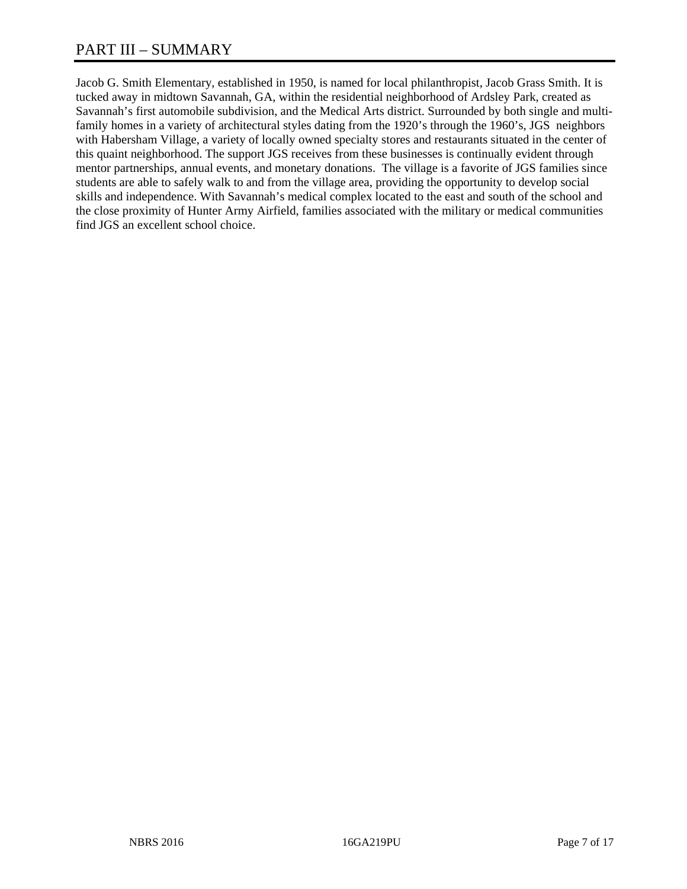Jacob G. Smith Elementary, established in 1950, is named for local philanthropist, Jacob Grass Smith. It is tucked away in midtown Savannah, GA, within the residential neighborhood of Ardsley Park, created as Savannah's first automobile subdivision, and the Medical Arts district. Surrounded by both single and multifamily homes in a variety of architectural styles dating from the 1920's through the 1960's, JGS neighbors with Habersham Village, a variety of locally owned specialty stores and restaurants situated in the center of this quaint neighborhood. The support JGS receives from these businesses is continually evident through mentor partnerships, annual events, and monetary donations. The village is a favorite of JGS families since students are able to safely walk to and from the village area, providing the opportunity to develop social skills and independence. With Savannah's medical complex located to the east and south of the school and the close proximity of Hunter Army Airfield, families associated with the military or medical communities find JGS an excellent school choice.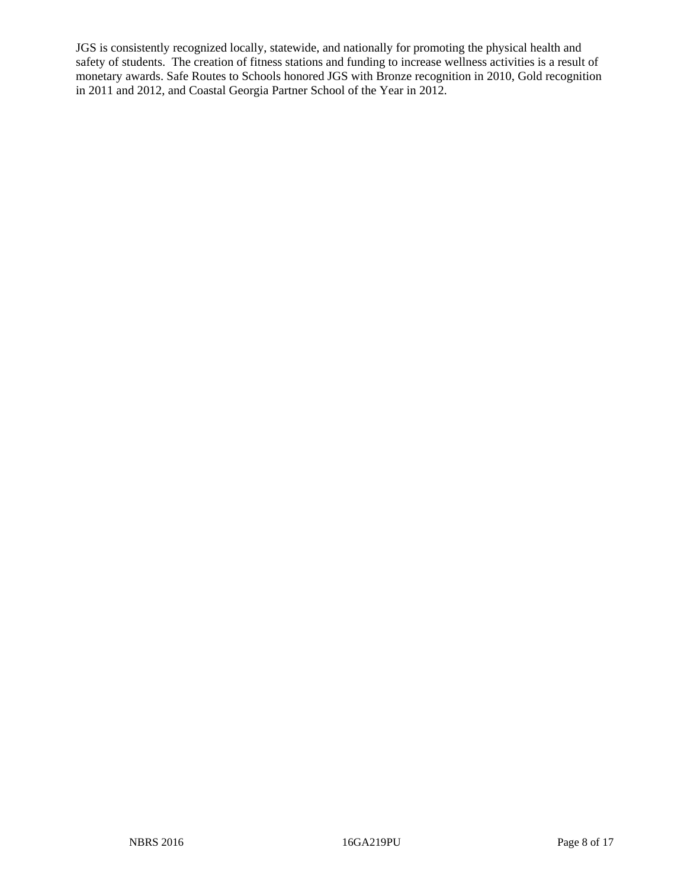JGS is consistently recognized locally, statewide, and nationally for promoting the physical health and safety of students. The creation of fitness stations and funding to increase wellness activities is a result of monetary awards. Safe Routes to Schools honored JGS with Bronze recognition in 2010, Gold recognition in 2011 and 2012, and Coastal Georgia Partner School of the Year in 2012.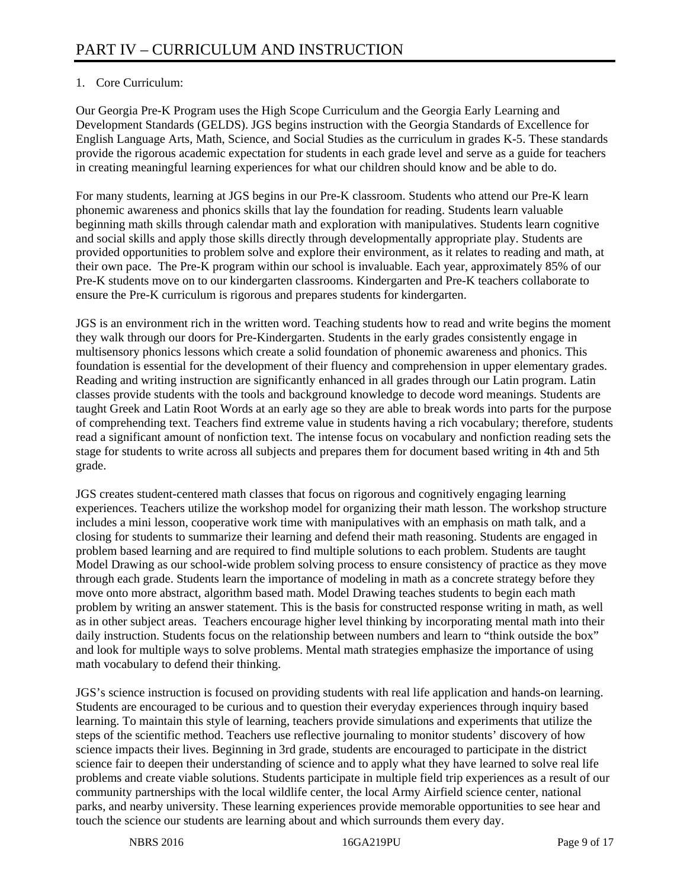## 1. Core Curriculum:

Our Georgia Pre-K Program uses the High Scope Curriculum and the Georgia Early Learning and Development Standards (GELDS). JGS begins instruction with the Georgia Standards of Excellence for English Language Arts, Math, Science, and Social Studies as the curriculum in grades K-5. These standards provide the rigorous academic expectation for students in each grade level and serve as a guide for teachers in creating meaningful learning experiences for what our children should know and be able to do.

For many students, learning at JGS begins in our Pre-K classroom. Students who attend our Pre-K learn phonemic awareness and phonics skills that lay the foundation for reading. Students learn valuable beginning math skills through calendar math and exploration with manipulatives. Students learn cognitive and social skills and apply those skills directly through developmentally appropriate play. Students are provided opportunities to problem solve and explore their environment, as it relates to reading and math, at their own pace. The Pre- $\hat{K}$  program within our school is invaluable. Each year, approximately 85% of our Pre-K students move on to our kindergarten classrooms. Kindergarten and Pre-K teachers collaborate to ensure the Pre-K curriculum is rigorous and prepares students for kindergarten.

JGS is an environment rich in the written word. Teaching students how to read and write begins the moment they walk through our doors for Pre-Kindergarten. Students in the early grades consistently engage in multisensory phonics lessons which create a solid foundation of phonemic awareness and phonics. This foundation is essential for the development of their fluency and comprehension in upper elementary grades. Reading and writing instruction are significantly enhanced in all grades through our Latin program. Latin classes provide students with the tools and background knowledge to decode word meanings. Students are taught Greek and Latin Root Words at an early age so they are able to break words into parts for the purpose of comprehending text. Teachers find extreme value in students having a rich vocabulary; therefore, students read a significant amount of nonfiction text. The intense focus on vocabulary and nonfiction reading sets the stage for students to write across all subjects and prepares them for document based writing in 4th and 5th grade.

JGS creates student-centered math classes that focus on rigorous and cognitively engaging learning experiences. Teachers utilize the workshop model for organizing their math lesson. The workshop structure includes a mini lesson, cooperative work time with manipulatives with an emphasis on math talk, and a closing for students to summarize their learning and defend their math reasoning. Students are engaged in problem based learning and are required to find multiple solutions to each problem. Students are taught Model Drawing as our school-wide problem solving process to ensure consistency of practice as they move through each grade. Students learn the importance of modeling in math as a concrete strategy before they move onto more abstract, algorithm based math. Model Drawing teaches students to begin each math problem by writing an answer statement. This is the basis for constructed response writing in math, as well as in other subject areas. Teachers encourage higher level thinking by incorporating mental math into their daily instruction. Students focus on the relationship between numbers and learn to "think outside the box" and look for multiple ways to solve problems. Mental math strategies emphasize the importance of using math vocabulary to defend their thinking.

JGS's science instruction is focused on providing students with real life application and hands-on learning. Students are encouraged to be curious and to question their everyday experiences through inquiry based learning. To maintain this style of learning, teachers provide simulations and experiments that utilize the steps of the scientific method. Teachers use reflective journaling to monitor students' discovery of how science impacts their lives. Beginning in 3rd grade, students are encouraged to participate in the district science fair to deepen their understanding of science and to apply what they have learned to solve real life problems and create viable solutions. Students participate in multiple field trip experiences as a result of our community partnerships with the local wildlife center, the local Army Airfield science center, national parks, and nearby university. These learning experiences provide memorable opportunities to see hear and touch the science our students are learning about and which surrounds them every day.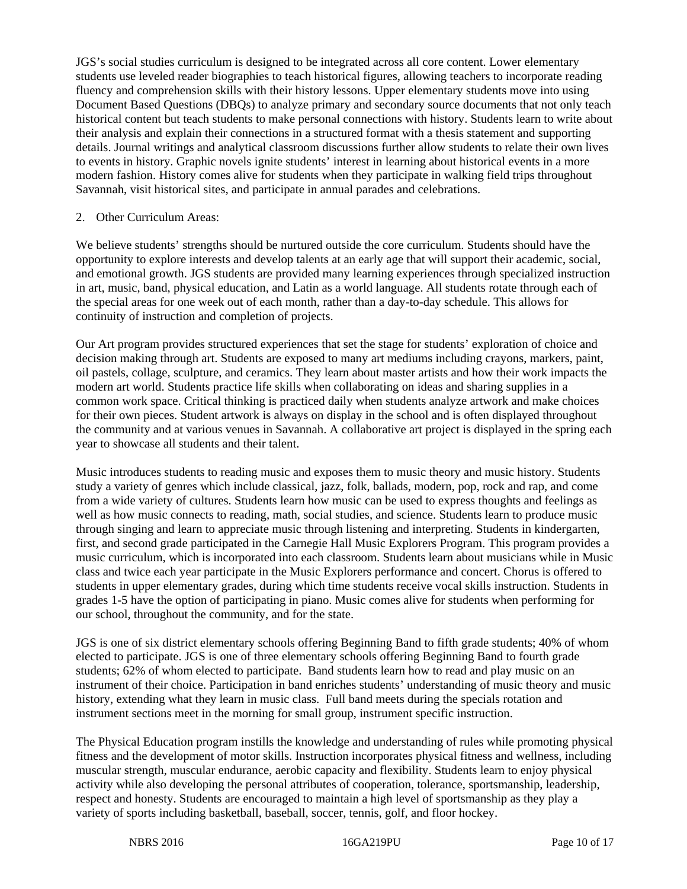JGS's social studies curriculum is designed to be integrated across all core content. Lower elementary students use leveled reader biographies to teach historical figures, allowing teachers to incorporate reading fluency and comprehension skills with their history lessons. Upper elementary students move into using Document Based Questions (DBQs) to analyze primary and secondary source documents that not only teach historical content but teach students to make personal connections with history. Students learn to write about their analysis and explain their connections in a structured format with a thesis statement and supporting details. Journal writings and analytical classroom discussions further allow students to relate their own lives to events in history. Graphic novels ignite students' interest in learning about historical events in a more modern fashion. History comes alive for students when they participate in walking field trips throughout Savannah, visit historical sites, and participate in annual parades and celebrations.

#### 2. Other Curriculum Areas:

We believe students' strengths should be nurtured outside the core curriculum. Students should have the opportunity to explore interests and develop talents at an early age that will support their academic, social, and emotional growth. JGS students are provided many learning experiences through specialized instruction in art, music, band, physical education, and Latin as a world language. All students rotate through each of the special areas for one week out of each month, rather than a day-to-day schedule. This allows for continuity of instruction and completion of projects.

Our Art program provides structured experiences that set the stage for students' exploration of choice and decision making through art. Students are exposed to many art mediums including crayons, markers, paint, oil pastels, collage, sculpture, and ceramics. They learn about master artists and how their work impacts the modern art world. Students practice life skills when collaborating on ideas and sharing supplies in a common work space. Critical thinking is practiced daily when students analyze artwork and make choices for their own pieces. Student artwork is always on display in the school and is often displayed throughout the community and at various venues in Savannah. A collaborative art project is displayed in the spring each year to showcase all students and their talent.

Music introduces students to reading music and exposes them to music theory and music history. Students study a variety of genres which include classical, jazz, folk, ballads, modern, pop, rock and rap, and come from a wide variety of cultures. Students learn how music can be used to express thoughts and feelings as well as how music connects to reading, math, social studies, and science. Students learn to produce music through singing and learn to appreciate music through listening and interpreting. Students in kindergarten, first, and second grade participated in the Carnegie Hall Music Explorers Program. This program provides a music curriculum, which is incorporated into each classroom. Students learn about musicians while in Music class and twice each year participate in the Music Explorers performance and concert. Chorus is offered to students in upper elementary grades, during which time students receive vocal skills instruction. Students in grades 1-5 have the option of participating in piano. Music comes alive for students when performing for our school, throughout the community, and for the state.

JGS is one of six district elementary schools offering Beginning Band to fifth grade students; 40% of whom elected to participate. JGS is one of three elementary schools offering Beginning Band to fourth grade students; 62% of whom elected to participate. Band students learn how to read and play music on an instrument of their choice. Participation in band enriches students' understanding of music theory and music history, extending what they learn in music class. Full band meets during the specials rotation and instrument sections meet in the morning for small group, instrument specific instruction.

The Physical Education program instills the knowledge and understanding of rules while promoting physical fitness and the development of motor skills. Instruction incorporates physical fitness and wellness, including muscular strength, muscular endurance, aerobic capacity and flexibility. Students learn to enjoy physical activity while also developing the personal attributes of cooperation, tolerance, sportsmanship, leadership, respect and honesty. Students are encouraged to maintain a high level of sportsmanship as they play a variety of sports including basketball, baseball, soccer, tennis, golf, and floor hockey.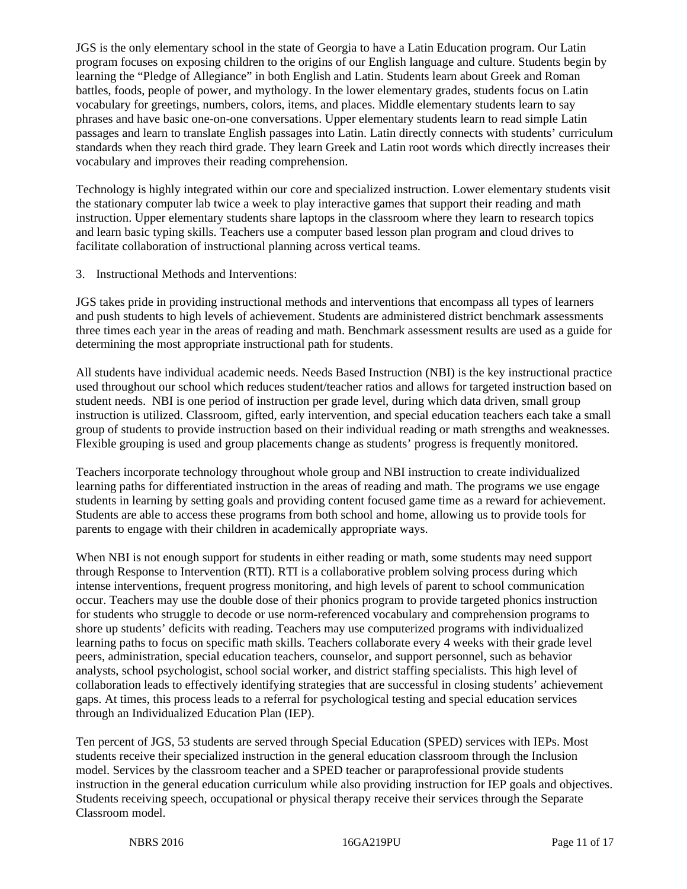JGS is the only elementary school in the state of Georgia to have a Latin Education program. Our Latin program focuses on exposing children to the origins of our English language and culture. Students begin by learning the "Pledge of Allegiance" in both English and Latin. Students learn about Greek and Roman battles, foods, people of power, and mythology. In the lower elementary grades, students focus on Latin vocabulary for greetings, numbers, colors, items, and places. Middle elementary students learn to say phrases and have basic one-on-one conversations. Upper elementary students learn to read simple Latin passages and learn to translate English passages into Latin. Latin directly connects with students' curriculum standards when they reach third grade. They learn Greek and Latin root words which directly increases their vocabulary and improves their reading comprehension.

Technology is highly integrated within our core and specialized instruction. Lower elementary students visit the stationary computer lab twice a week to play interactive games that support their reading and math instruction. Upper elementary students share laptops in the classroom where they learn to research topics and learn basic typing skills. Teachers use a computer based lesson plan program and cloud drives to facilitate collaboration of instructional planning across vertical teams.

3. Instructional Methods and Interventions:

JGS takes pride in providing instructional methods and interventions that encompass all types of learners and push students to high levels of achievement. Students are administered district benchmark assessments three times each year in the areas of reading and math. Benchmark assessment results are used as a guide for determining the most appropriate instructional path for students.

All students have individual academic needs. Needs Based Instruction (NBI) is the key instructional practice used throughout our school which reduces student/teacher ratios and allows for targeted instruction based on student needs. NBI is one period of instruction per grade level, during which data driven, small group instruction is utilized. Classroom, gifted, early intervention, and special education teachers each take a small group of students to provide instruction based on their individual reading or math strengths and weaknesses. Flexible grouping is used and group placements change as students' progress is frequently monitored.

Teachers incorporate technology throughout whole group and NBI instruction to create individualized learning paths for differentiated instruction in the areas of reading and math. The programs we use engage students in learning by setting goals and providing content focused game time as a reward for achievement. Students are able to access these programs from both school and home, allowing us to provide tools for parents to engage with their children in academically appropriate ways.

When NBI is not enough support for students in either reading or math, some students may need support through Response to Intervention (RTI). RTI is a collaborative problem solving process during which intense interventions, frequent progress monitoring, and high levels of parent to school communication occur. Teachers may use the double dose of their phonics program to provide targeted phonics instruction for students who struggle to decode or use norm-referenced vocabulary and comprehension programs to shore up students' deficits with reading. Teachers may use computerized programs with individualized learning paths to focus on specific math skills. Teachers collaborate every 4 weeks with their grade level peers, administration, special education teachers, counselor, and support personnel, such as behavior analysts, school psychologist, school social worker, and district staffing specialists. This high level of collaboration leads to effectively identifying strategies that are successful in closing students' achievement gaps. At times, this process leads to a referral for psychological testing and special education services through an Individualized Education Plan (IEP).

Ten percent of JGS, 53 students are served through Special Education (SPED) services with IEPs. Most students receive their specialized instruction in the general education classroom through the Inclusion model. Services by the classroom teacher and a SPED teacher or paraprofessional provide students instruction in the general education curriculum while also providing instruction for IEP goals and objectives. Students receiving speech, occupational or physical therapy receive their services through the Separate Classroom model.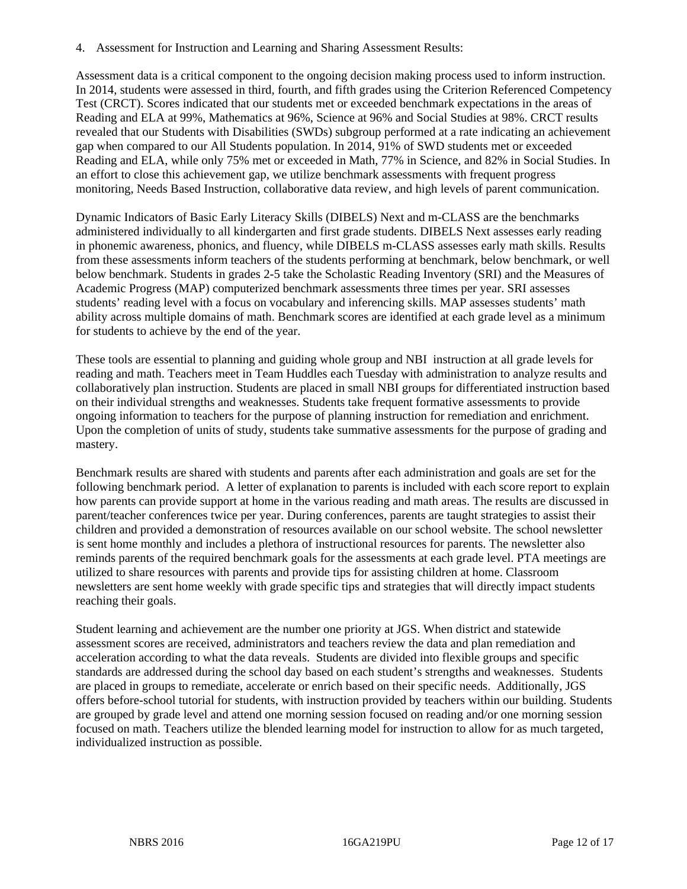4. Assessment for Instruction and Learning and Sharing Assessment Results:

Assessment data is a critical component to the ongoing decision making process used to inform instruction. In 2014, students were assessed in third, fourth, and fifth grades using the Criterion Referenced Competency Test (CRCT). Scores indicated that our students met or exceeded benchmark expectations in the areas of Reading and ELA at 99%, Mathematics at 96%, Science at 96% and Social Studies at 98%. CRCT results revealed that our Students with Disabilities (SWDs) subgroup performed at a rate indicating an achievement gap when compared to our All Students population. In 2014, 91% of SWD students met or exceeded Reading and ELA, while only 75% met or exceeded in Math, 77% in Science, and 82% in Social Studies. In an effort to close this achievement gap, we utilize benchmark assessments with frequent progress monitoring, Needs Based Instruction, collaborative data review, and high levels of parent communication.

Dynamic Indicators of Basic Early Literacy Skills (DIBELS) Next and m-CLASS are the benchmarks administered individually to all kindergarten and first grade students. DIBELS Next assesses early reading in phonemic awareness, phonics, and fluency, while DIBELS m-CLASS assesses early math skills. Results from these assessments inform teachers of the students performing at benchmark, below benchmark, or well below benchmark. Students in grades 2-5 take the Scholastic Reading Inventory (SRI) and the Measures of Academic Progress (MAP) computerized benchmark assessments three times per year. SRI assesses students' reading level with a focus on vocabulary and inferencing skills. MAP assesses students' math ability across multiple domains of math. Benchmark scores are identified at each grade level as a minimum for students to achieve by the end of the year.

These tools are essential to planning and guiding whole group and NBI instruction at all grade levels for reading and math. Teachers meet in Team Huddles each Tuesday with administration to analyze results and collaboratively plan instruction. Students are placed in small NBI groups for differentiated instruction based on their individual strengths and weaknesses. Students take frequent formative assessments to provide ongoing information to teachers for the purpose of planning instruction for remediation and enrichment. Upon the completion of units of study, students take summative assessments for the purpose of grading and mastery.

Benchmark results are shared with students and parents after each administration and goals are set for the following benchmark period. A letter of explanation to parents is included with each score report to explain how parents can provide support at home in the various reading and math areas. The results are discussed in parent/teacher conferences twice per year. During conferences, parents are taught strategies to assist their children and provided a demonstration of resources available on our school website. The school newsletter is sent home monthly and includes a plethora of instructional resources for parents. The newsletter also reminds parents of the required benchmark goals for the assessments at each grade level. PTA meetings are utilized to share resources with parents and provide tips for assisting children at home. Classroom newsletters are sent home weekly with grade specific tips and strategies that will directly impact students reaching their goals.

Student learning and achievement are the number one priority at JGS. When district and statewide assessment scores are received, administrators and teachers review the data and plan remediation and acceleration according to what the data reveals. Students are divided into flexible groups and specific standards are addressed during the school day based on each student's strengths and weaknesses. Students are placed in groups to remediate, accelerate or enrich based on their specific needs. Additionally, JGS offers before-school tutorial for students, with instruction provided by teachers within our building. Students are grouped by grade level and attend one morning session focused on reading and/or one morning session focused on math. Teachers utilize the blended learning model for instruction to allow for as much targeted, individualized instruction as possible.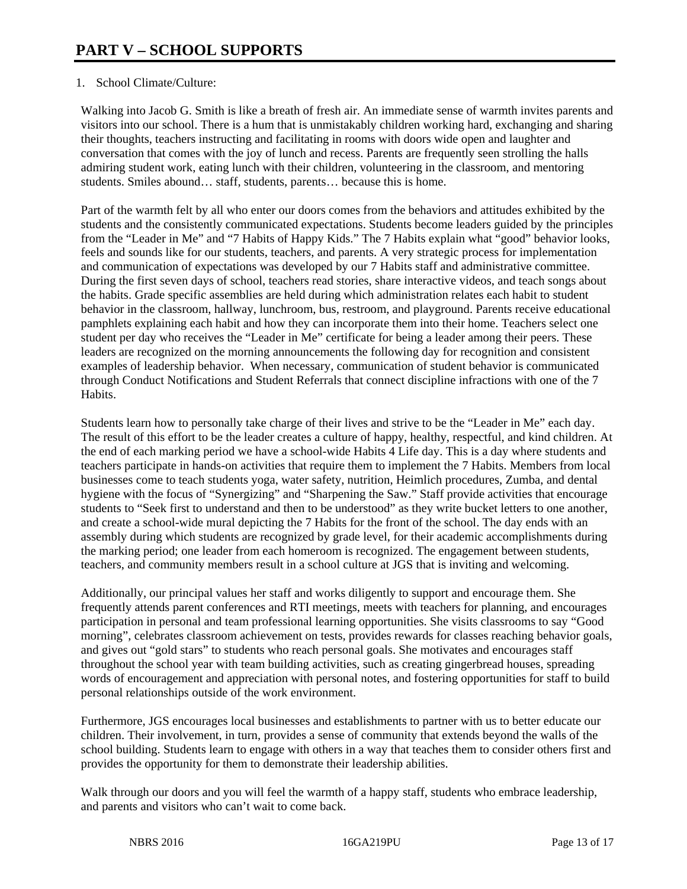### 1. School Climate/Culture:

Walking into Jacob G. Smith is like a breath of fresh air. An immediate sense of warmth invites parents and visitors into our school. There is a hum that is unmistakably children working hard, exchanging and sharing their thoughts, teachers instructing and facilitating in rooms with doors wide open and laughter and conversation that comes with the joy of lunch and recess. Parents are frequently seen strolling the halls admiring student work, eating lunch with their children, volunteering in the classroom, and mentoring students. Smiles abound… staff, students, parents… because this is home.

Part of the warmth felt by all who enter our doors comes from the behaviors and attitudes exhibited by the students and the consistently communicated expectations. Students become leaders guided by the principles from the "Leader in Me" and "7 Habits of Happy Kids." The 7 Habits explain what "good" behavior looks, feels and sounds like for our students, teachers, and parents. A very strategic process for implementation and communication of expectations was developed by our 7 Habits staff and administrative committee. During the first seven days of school, teachers read stories, share interactive videos, and teach songs about the habits. Grade specific assemblies are held during which administration relates each habit to student behavior in the classroom, hallway, lunchroom, bus, restroom, and playground. Parents receive educational pamphlets explaining each habit and how they can incorporate them into their home. Teachers select one student per day who receives the "Leader in Me" certificate for being a leader among their peers. These leaders are recognized on the morning announcements the following day for recognition and consistent examples of leadership behavior. When necessary, communication of student behavior is communicated through Conduct Notifications and Student Referrals that connect discipline infractions with one of the 7 Habits.

Students learn how to personally take charge of their lives and strive to be the "Leader in Me" each day. The result of this effort to be the leader creates a culture of happy, healthy, respectful, and kind children. At the end of each marking period we have a school-wide Habits 4 Life day. This is a day where students and teachers participate in hands-on activities that require them to implement the 7 Habits. Members from local businesses come to teach students yoga, water safety, nutrition, Heimlich procedures, Zumba, and dental hygiene with the focus of "Synergizing" and "Sharpening the Saw." Staff provide activities that encourage students to "Seek first to understand and then to be understood" as they write bucket letters to one another, and create a school-wide mural depicting the 7 Habits for the front of the school. The day ends with an assembly during which students are recognized by grade level, for their academic accomplishments during the marking period; one leader from each homeroom is recognized. The engagement between students, teachers, and community members result in a school culture at JGS that is inviting and welcoming.

Additionally, our principal values her staff and works diligently to support and encourage them. She frequently attends parent conferences and RTI meetings, meets with teachers for planning, and encourages participation in personal and team professional learning opportunities. She visits classrooms to say "Good morning", celebrates classroom achievement on tests, provides rewards for classes reaching behavior goals, and gives out "gold stars" to students who reach personal goals. She motivates and encourages staff throughout the school year with team building activities, such as creating gingerbread houses, spreading words of encouragement and appreciation with personal notes, and fostering opportunities for staff to build personal relationships outside of the work environment.

Furthermore, JGS encourages local businesses and establishments to partner with us to better educate our children. Their involvement, in turn, provides a sense of community that extends beyond the walls of the school building. Students learn to engage with others in a way that teaches them to consider others first and provides the opportunity for them to demonstrate their leadership abilities.

Walk through our doors and you will feel the warmth of a happy staff, students who embrace leadership, and parents and visitors who can't wait to come back.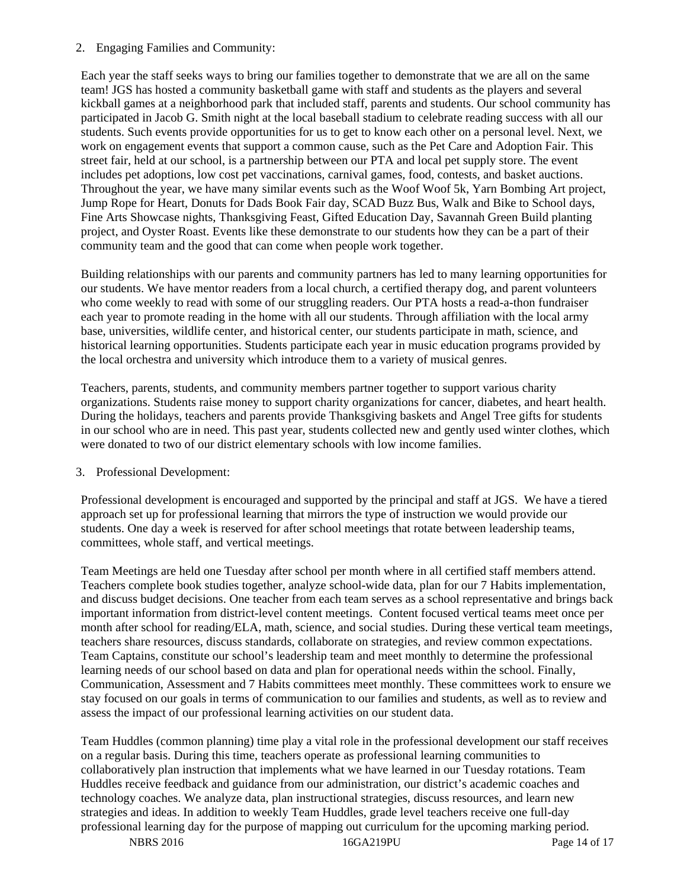#### 2. Engaging Families and Community:

Each year the staff seeks ways to bring our families together to demonstrate that we are all on the same team! JGS has hosted a community basketball game with staff and students as the players and several kickball games at a neighborhood park that included staff, parents and students. Our school community has participated in Jacob G. Smith night at the local baseball stadium to celebrate reading success with all our students. Such events provide opportunities for us to get to know each other on a personal level. Next, we work on engagement events that support a common cause, such as the Pet Care and Adoption Fair. This street fair, held at our school, is a partnership between our PTA and local pet supply store. The event includes pet adoptions, low cost pet vaccinations, carnival games, food, contests, and basket auctions. Throughout the year, we have many similar events such as the Woof Woof 5k, Yarn Bombing Art project, Jump Rope for Heart, Donuts for Dads Book Fair day, SCAD Buzz Bus, Walk and Bike to School days, Fine Arts Showcase nights, Thanksgiving Feast, Gifted Education Day, Savannah Green Build planting project, and Oyster Roast. Events like these demonstrate to our students how they can be a part of their community team and the good that can come when people work together.

Building relationships with our parents and community partners has led to many learning opportunities for our students. We have mentor readers from a local church, a certified therapy dog, and parent volunteers who come weekly to read with some of our struggling readers. Our PTA hosts a read-a-thon fundraiser each year to promote reading in the home with all our students. Through affiliation with the local army base, universities, wildlife center, and historical center, our students participate in math, science, and historical learning opportunities. Students participate each year in music education programs provided by the local orchestra and university which introduce them to a variety of musical genres.

Teachers, parents, students, and community members partner together to support various charity organizations. Students raise money to support charity organizations for cancer, diabetes, and heart health. During the holidays, teachers and parents provide Thanksgiving baskets and Angel Tree gifts for students in our school who are in need. This past year, students collected new and gently used winter clothes, which were donated to two of our district elementary schools with low income families.

#### 3. Professional Development:

Professional development is encouraged and supported by the principal and staff at JGS. We have a tiered approach set up for professional learning that mirrors the type of instruction we would provide our students. One day a week is reserved for after school meetings that rotate between leadership teams, committees, whole staff, and vertical meetings.

Team Meetings are held one Tuesday after school per month where in all certified staff members attend. Teachers complete book studies together, analyze school-wide data, plan for our 7 Habits implementation, and discuss budget decisions. One teacher from each team serves as a school representative and brings back important information from district-level content meetings. Content focused vertical teams meet once per month after school for reading/ELA, math, science, and social studies. During these vertical team meetings, teachers share resources, discuss standards, collaborate on strategies, and review common expectations. Team Captains, constitute our school's leadership team and meet monthly to determine the professional learning needs of our school based on data and plan for operational needs within the school. Finally, Communication, Assessment and 7 Habits committees meet monthly. These committees work to ensure we stay focused on our goals in terms of communication to our families and students, as well as to review and assess the impact of our professional learning activities on our student data.

Team Huddles (common planning) time play a vital role in the professional development our staff receives on a regular basis. During this time, teachers operate as professional learning communities to collaboratively plan instruction that implements what we have learned in our Tuesday rotations. Team Huddles receive feedback and guidance from our administration, our district's academic coaches and technology coaches. We analyze data, plan instructional strategies, discuss resources, and learn new strategies and ideas. In addition to weekly Team Huddles, grade level teachers receive one full-day professional learning day for the purpose of mapping out curriculum for the upcoming marking period.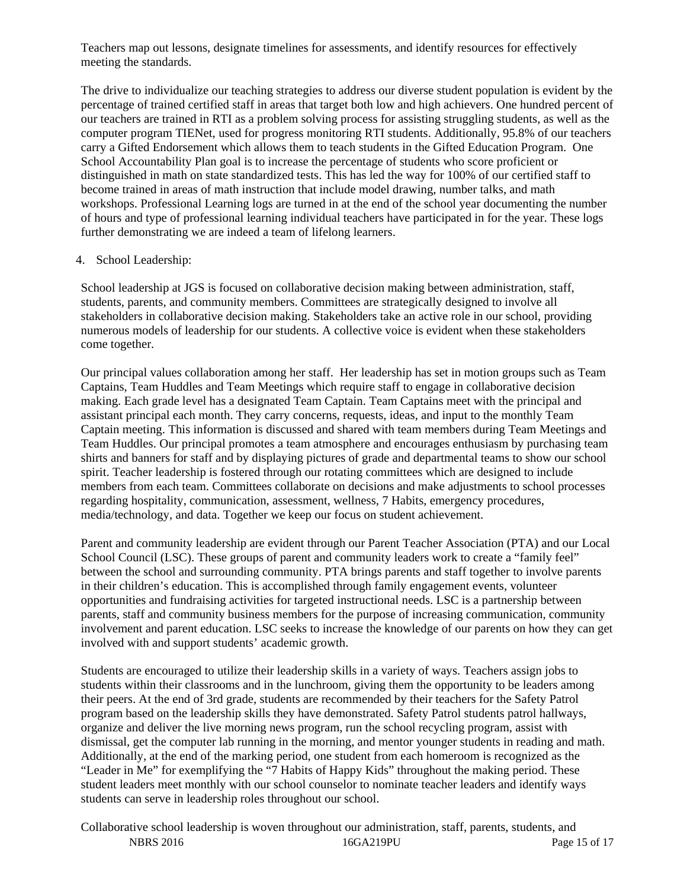Teachers map out lessons, designate timelines for assessments, and identify resources for effectively meeting the standards.

The drive to individualize our teaching strategies to address our diverse student population is evident by the percentage of trained certified staff in areas that target both low and high achievers. One hundred percent of our teachers are trained in RTI as a problem solving process for assisting struggling students, as well as the computer program TIENet, used for progress monitoring RTI students. Additionally, 95.8% of our teachers carry a Gifted Endorsement which allows them to teach students in the Gifted Education Program. One School Accountability Plan goal is to increase the percentage of students who score proficient or distinguished in math on state standardized tests. This has led the way for 100% of our certified staff to become trained in areas of math instruction that include model drawing, number talks, and math workshops. Professional Learning logs are turned in at the end of the school year documenting the number of hours and type of professional learning individual teachers have participated in for the year. These logs further demonstrating we are indeed a team of lifelong learners.

#### 4. School Leadership:

School leadership at JGS is focused on collaborative decision making between administration, staff, students, parents, and community members. Committees are strategically designed to involve all stakeholders in collaborative decision making. Stakeholders take an active role in our school, providing numerous models of leadership for our students. A collective voice is evident when these stakeholders come together.

Our principal values collaboration among her staff. Her leadership has set in motion groups such as Team Captains, Team Huddles and Team Meetings which require staff to engage in collaborative decision making. Each grade level has a designated Team Captain. Team Captains meet with the principal and assistant principal each month. They carry concerns, requests, ideas, and input to the monthly Team Captain meeting. This information is discussed and shared with team members during Team Meetings and Team Huddles. Our principal promotes a team atmosphere and encourages enthusiasm by purchasing team shirts and banners for staff and by displaying pictures of grade and departmental teams to show our school spirit. Teacher leadership is fostered through our rotating committees which are designed to include members from each team. Committees collaborate on decisions and make adjustments to school processes regarding hospitality, communication, assessment, wellness, 7 Habits, emergency procedures, media/technology, and data. Together we keep our focus on student achievement.

Parent and community leadership are evident through our Parent Teacher Association (PTA) and our Local School Council (LSC). These groups of parent and community leaders work to create a "family feel" between the school and surrounding community. PTA brings parents and staff together to involve parents in their children's education. This is accomplished through family engagement events, volunteer opportunities and fundraising activities for targeted instructional needs. LSC is a partnership between parents, staff and community business members for the purpose of increasing communication, community involvement and parent education. LSC seeks to increase the knowledge of our parents on how they can get involved with and support students' academic growth.

Students are encouraged to utilize their leadership skills in a variety of ways. Teachers assign jobs to students within their classrooms and in the lunchroom, giving them the opportunity to be leaders among their peers. At the end of 3rd grade, students are recommended by their teachers for the Safety Patrol program based on the leadership skills they have demonstrated. Safety Patrol students patrol hallways, organize and deliver the live morning news program, run the school recycling program, assist with dismissal, get the computer lab running in the morning, and mentor younger students in reading and math. Additionally, at the end of the marking period, one student from each homeroom is recognized as the "Leader in Me" for exemplifying the "7 Habits of Happy Kids" throughout the making period. These student leaders meet monthly with our school counselor to nominate teacher leaders and identify ways students can serve in leadership roles throughout our school.

NBRS 2016 16GA219PU Page 15 of 17 Collaborative school leadership is woven throughout our administration, staff, parents, students, and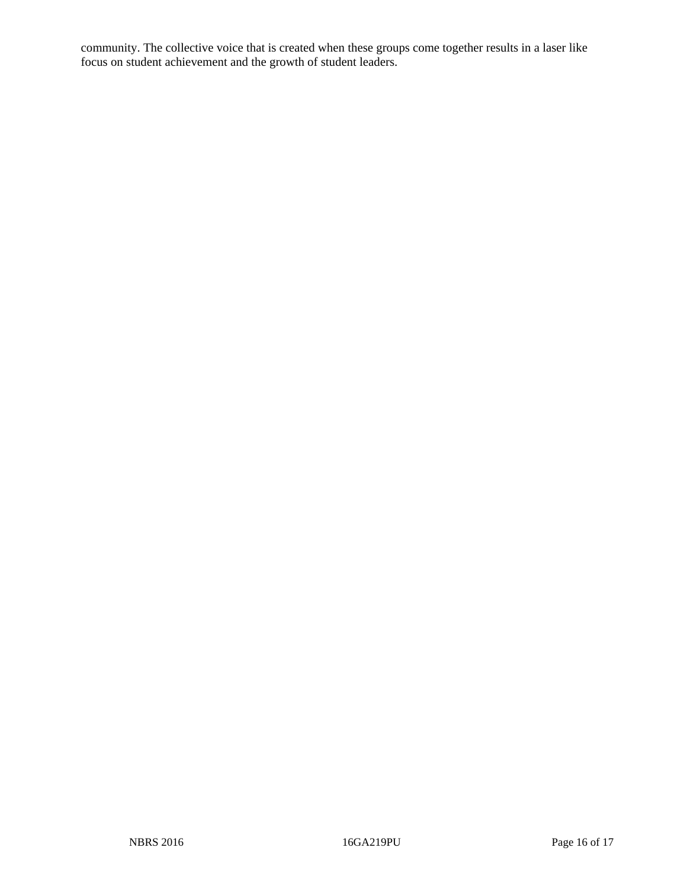community. The collective voice that is created when these groups come together results in a laser like focus on student achievement and the growth of student leaders.